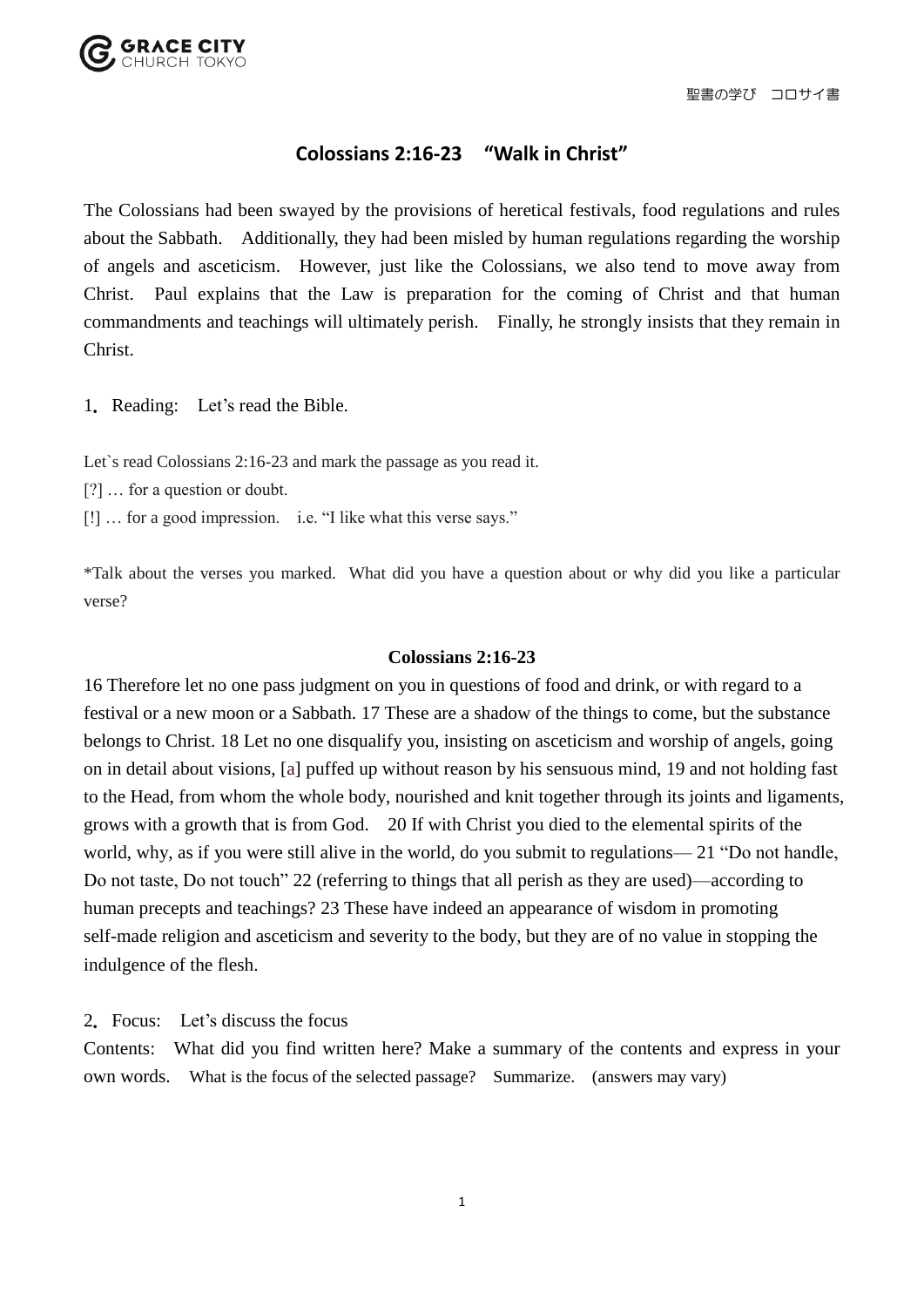## **Colossians 2:16-23 "Walk in Christ"**

The Colossians had been swayed by the provisions of heretical festivals, food regulations and rules about the Sabbath. Additionally, they had been misled by human regulations regarding the worship of angels and asceticism. However, just like the Colossians, we also tend to move away from Christ. Paul explains that the Law is preparation for the coming of Christ and that human commandments and teachings will ultimately perish. Finally, he strongly insists that they remain in Christ.

1. Reading: Let's read the Bible.

Let's read Colossians 2:16-23 and mark the passage as you read it.

[?] … for a question or doubt.

[!] … for a good impression. i.e. "I like what this verse says."

\*Talk about the verses you marked. What did you have a question about or why did you like a particular verse?

## **Colossians 2:16-23**

16 Therefore let no one pass judgment on you in questions of food and drink, or with regard to a festival or a new moon or a Sabbath. 17 These are a shadow of the things to come, but the substance belongs to Christ. 18 Let no one disqualify you, insisting on asceticism and worship of angels, going on in detail about visions, [a] puffed up without reason by his sensuous mind, 19 and not holding fast to the Head, from whom the whole body, nourished and knit together through its joints and ligaments, grows with a growth that is from God. 20 If with Christ you died to the elemental spirits of the world, why, as if you were still alive in the world, do you submit to regulations— 21 "Do not handle, Do not taste, Do not touch" 22 (referring to things that all perish as they are used)—according to human precepts and teachings? 23 These have indeed an appearance of wisdom in promoting self-made religion and asceticism and severity to the body, but they are of no value in stopping the indulgence of the flesh.

2.Focus: Let's discuss the focus

Contents: What did you find written here? Make a summary of the contents and express in your own words. What is the focus of the selected passage? Summarize. (answers may vary)